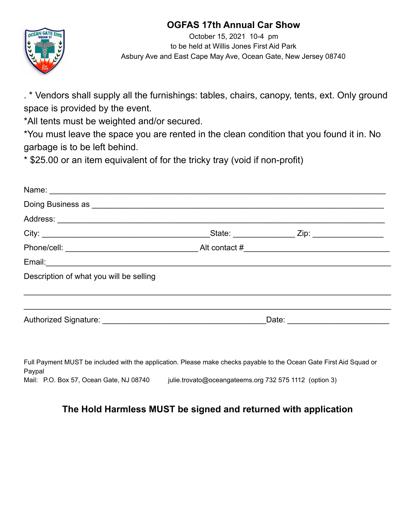## **OGFAS 17th Annual Car Show**



October 15, 2021 10-4 pm to be held at Willis Jones First Aid Park Asbury Ave and East Cape May Ave, Ocean Gate, New Jersey 08740

. \* Vendors shall supply all the furnishings: tables, chairs, canopy, tents, ext. Only ground space is provided by the event.

\*All tents must be weighted and/or secured.

\*You must leave the space you are rented in the clean condition that you found it in. No garbage is to be left behind.

\* \$25.00 or an item equivalent of for the tricky tray (void if non-profit)

| Description of what you will be selling                                                                             |  |  |  |
|---------------------------------------------------------------------------------------------------------------------|--|--|--|
|                                                                                                                     |  |  |  |
| Full Payment MUST be included with the application. Please make checks payable to the Ocean Gate First Aid Squad or |  |  |  |

Full Payment MUST be included with the application. Please make checks payable to the Ocean Gate First Aid Squad or Paypal Mail: P.O. Box 57, Ocean Gate, NJ 08740 julie.trovato@oceangateems.org 732 575 1112 (option 3)

## **The Hold Harmless MUST be signed and returned with application**